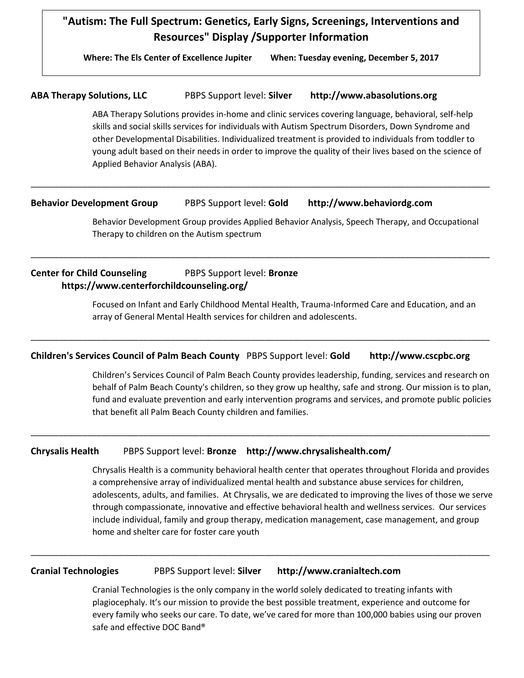# **"Autism: The Full Spectrum: Genetics, Early Signs, Screenings, Interventions and Resources" Display /Supporter Information**

**Where: The Els Center of Excellence Jupiter When: Tuesday evening, December 5, 2017**

\_\_\_\_\_\_\_\_\_\_\_\_\_\_\_\_\_\_\_\_\_\_\_\_\_\_\_\_\_\_\_\_\_\_\_\_\_\_\_\_\_\_\_\_\_\_\_\_\_\_\_\_\_\_\_\_\_\_\_\_\_\_\_\_\_\_\_\_\_\_\_\_\_\_\_\_\_\_\_\_\_\_\_\_\_\_\_\_\_\_\_\_\_\_\_\_\_\_

\_\_\_\_\_\_\_\_\_\_\_\_\_\_\_\_\_\_\_\_\_\_\_\_\_\_\_\_\_\_\_\_\_\_\_\_\_\_\_\_\_\_\_\_\_\_\_\_\_\_\_\_\_\_\_\_\_\_\_\_\_\_\_\_\_\_\_\_\_\_\_\_\_\_\_\_\_\_\_\_\_\_\_\_\_\_\_\_\_\_\_\_\_\_\_\_\_\_

# **ABA Therapy Solutions, LLC** PBPS Support level: **Silver http://www.abasolutions.org**

ABA Therapy Solutions provides in-home and clinic services covering language, behavioral, self-help skills and social skills services for individuals with Autism Spectrum Disorders, Down Syndrome and other Developmental Disabilities. Individualized treatment is provided to individuals from toddler to young adult based on their needs in order to improve the quality of their lives based on the science of Applied Behavior Analysis (ABA).

### **Behavior Development Group** PBPS Support level: **Gold http://www.behaviordg.com**

Behavior Development Group provides Applied Behavior Analysis, Speech Therapy, and Occupational Therapy to children on the Autism spectrum

# **Center for Child Counseling** PBPS Support level: **Bronze https://www.centerforchildcounseling.org/**

Focused on Infant and Early Childhood Mental Health, Trauma-Informed Care and Education, and an array of General Mental Health services for children and adolescents.

### **Children's Services Council of Palm Beach County** PBPS Support level: **Gold http://www.cscpbc.org**

\_\_\_\_\_\_\_\_\_\_\_\_\_\_\_\_\_\_\_\_\_\_\_\_\_\_\_\_\_\_\_\_\_\_\_\_\_\_\_\_\_\_\_\_\_\_\_\_\_\_\_\_\_\_\_\_\_\_\_\_\_\_\_\_\_\_\_\_\_\_\_\_\_\_\_\_\_\_\_\_\_\_\_\_\_\_\_\_\_\_\_\_\_\_\_\_\_\_

\_\_\_\_\_\_\_\_\_\_\_\_\_\_\_\_\_\_\_\_\_\_\_\_\_\_\_\_\_\_\_\_\_\_\_\_\_\_\_\_\_\_\_\_\_\_\_\_\_\_\_\_\_\_\_\_\_\_\_\_\_\_\_\_\_\_\_\_\_\_\_\_\_\_\_\_\_\_\_\_\_\_\_\_\_\_\_\_\_\_\_\_\_\_\_\_\_\_

\_\_\_\_\_\_\_\_\_\_\_\_\_\_\_\_\_\_\_\_\_\_\_\_\_\_\_\_\_\_\_\_\_\_\_\_\_\_\_\_\_\_\_\_\_\_\_\_\_\_\_\_\_\_\_\_\_\_\_\_\_\_\_\_\_\_\_\_\_\_\_\_\_\_\_\_\_\_\_\_\_\_\_\_\_\_\_\_\_\_\_\_\_\_\_\_\_\_

Children's Services Council of Palm Beach County provides leadership, funding, services and research on behalf of Palm Beach County's children, so they grow up healthy, safe and strong. Our mission is to plan, fund and evaluate prevention and early intervention programs and services, and promote public policies that benefit all Palm Beach County children and families.

### **Chrysalis Health** PBPS Support level: **Bronze http://www.chrysalishealth.com/**

Chrysalis Health is a community behavioral health center that operates throughout Florida and provides a comprehensive array of individualized mental health and substance abuse services for children, adolescents, adults, and families. At Chrysalis, we are dedicated to improving the lives of those we serve through compassionate, innovative and effective behavioral health and wellness services. Our services include individual, family and group therapy, medication management, case management, and group home and shelter care for foster care youth

### **Cranial Technologies** PBPS Support level: **Silver http://www.cranialtech.com**

Cranial Technologies is the only company in the world solely dedicated to treating infants with plagiocephaly. It's our mission to provide the best possible treatment, experience and outcome for every family who seeks our care. To date, we've cared for more than 100,000 babies using our proven safe and effective DOC Band®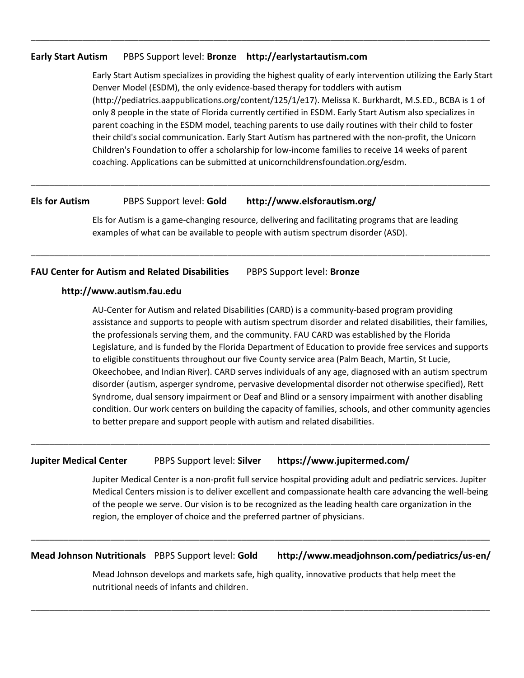# **Early Start Autism** PBPS Support level: **Bronze http://earlystartautism.com**

Early Start Autism specializes in providing the highest quality of early intervention utilizing the Early Start Denver Model (ESDM), the only evidence-based therapy for toddlers with autism (http://pediatrics.aappublications.org/content/125/1/e17). Melissa K. Burkhardt, M.S.ED., BCBA is 1 of only 8 people in the state of Florida currently certified in ESDM. Early Start Autism also specializes in parent coaching in the ESDM model, teaching parents to use daily routines with their child to foster their child's social communication. Early Start Autism has partnered with the non-profit, the Unicorn Children's Foundation to offer a scholarship for low-income families to receive 14 weeks of parent coaching. Applications can be submitted at unicornchildrensfoundation.org/esdm.

\_\_\_\_\_\_\_\_\_\_\_\_\_\_\_\_\_\_\_\_\_\_\_\_\_\_\_\_\_\_\_\_\_\_\_\_\_\_\_\_\_\_\_\_\_\_\_\_\_\_\_\_\_\_\_\_\_\_\_\_\_\_\_\_\_\_\_\_\_\_\_\_\_\_\_\_\_\_\_\_\_\_\_\_\_\_\_\_\_\_\_\_\_\_\_\_\_\_

### **Els for Autism** PBPS Support level: **Gold http://www.elsforautism.org/**

Els for Autism is a game-changing resource, delivering and facilitating programs that are leading examples of what can be available to people with autism spectrum disorder (ASD).

\_\_\_\_\_\_\_\_\_\_\_\_\_\_\_\_\_\_\_\_\_\_\_\_\_\_\_\_\_\_\_\_\_\_\_\_\_\_\_\_\_\_\_\_\_\_\_\_\_\_\_\_\_\_\_\_\_\_\_\_\_\_\_\_\_\_\_\_\_\_\_\_\_\_\_\_\_\_\_\_\_\_\_\_\_\_\_\_\_\_\_\_\_\_\_\_\_\_

\_\_\_\_\_\_\_\_\_\_\_\_\_\_\_\_\_\_\_\_\_\_\_\_\_\_\_\_\_\_\_\_\_\_\_\_\_\_\_\_\_\_\_\_\_\_\_\_\_\_\_\_\_\_\_\_\_\_\_\_\_\_\_\_\_\_\_\_\_\_\_\_\_\_\_\_\_\_\_\_\_\_\_\_\_\_\_\_\_\_\_\_\_\_\_\_\_\_

\_\_\_\_\_\_\_\_\_\_\_\_\_\_\_\_\_\_\_\_\_\_\_\_\_\_\_\_\_\_\_\_\_\_\_\_\_\_\_\_\_\_\_\_\_\_\_\_\_\_\_\_\_\_\_\_\_\_\_\_\_\_\_\_\_\_\_\_\_\_\_\_\_\_\_\_\_\_\_\_\_\_\_\_\_\_\_\_\_\_\_\_\_\_\_\_\_\_

\_\_\_\_\_\_\_\_\_\_\_\_\_\_\_\_\_\_\_\_\_\_\_\_\_\_\_\_\_\_\_\_\_\_\_\_\_\_\_\_\_\_\_\_\_\_\_\_\_\_\_\_\_\_\_\_\_\_\_\_\_\_\_\_\_\_\_\_\_\_\_\_\_\_\_\_\_\_\_\_\_\_\_\_\_\_\_\_\_\_\_\_\_\_\_\_\_\_

\_\_\_\_\_\_\_\_\_\_\_\_\_\_\_\_\_\_\_\_\_\_\_\_\_\_\_\_\_\_\_\_\_\_\_\_\_\_\_\_\_\_\_\_\_\_\_\_\_\_\_\_\_\_\_\_\_\_\_\_\_\_\_\_\_\_\_\_\_\_\_\_\_\_\_\_\_\_\_\_\_\_\_\_\_\_\_\_\_\_\_\_\_\_\_\_\_\_

### **FAU Center for Autism and Related Disabilities** PBPS Support level: **Bronze**

### **http://www.autism.fau.edu**

AU-Center for Autism and related Disabilities (CARD) is a community-based program providing assistance and supports to people with autism spectrum disorder and related disabilities, their families, the professionals serving them, and the community. FAU CARD was established by the Florida Legislature, and is funded by the Florida Department of Education to provide free services and supports to eligible constituents throughout our five County service area (Palm Beach, Martin, St Lucie, Okeechobee, and Indian River). CARD serves individuals of any age, diagnosed with an autism spectrum disorder (autism, asperger syndrome, pervasive developmental disorder not otherwise specified), Rett Syndrome, dual sensory impairment or Deaf and Blind or a sensory impairment with another disabling condition. Our work centers on building the capacity of families, schools, and other community agencies to better prepare and support people with autism and related disabilities.

### **Jupiter Medical Center** PBPS Support level: **Silver https://www.jupitermed.com/**

Jupiter Medical Center is a non-profit full service hospital providing adult and pediatric services. Jupiter Medical Centers mission is to deliver excellent and compassionate health care advancing the well-being of the people we serve. Our vision is to be recognized as the leading health care organization in the region, the employer of choice and the preferred partner of physicians.

### **Mead Johnson Nutritionals** PBPS Support level: **Gold http://www.meadjohnson.com/pediatrics/us-en/**

Mead Johnson develops and markets safe, high quality, innovative products that help meet the nutritional needs of infants and children.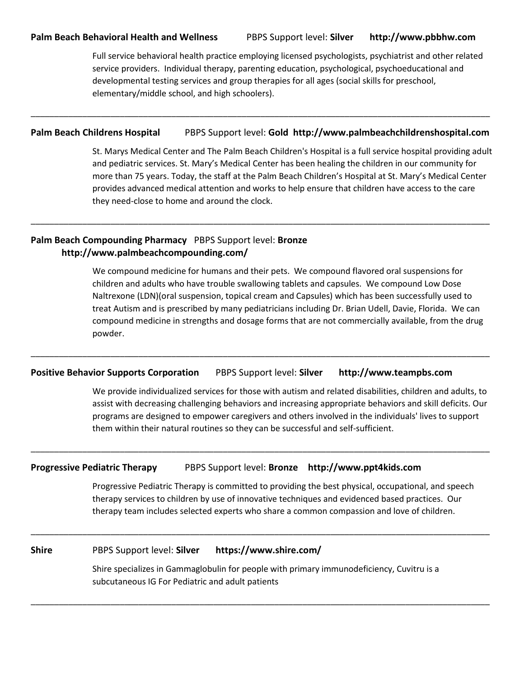Full service behavioral health practice employing licensed psychologists, psychiatrist and other related service providers. Individual therapy, parenting education, psychological, psychoeducational and developmental testing services and group therapies for all ages (social skills for preschool, elementary/middle school, and high schoolers).

### **Palm Beach Childrens Hospital** PBPS Support level: **Gold http://www.palmbeachchildrenshospital.com**

\_\_\_\_\_\_\_\_\_\_\_\_\_\_\_\_\_\_\_\_\_\_\_\_\_\_\_\_\_\_\_\_\_\_\_\_\_\_\_\_\_\_\_\_\_\_\_\_\_\_\_\_\_\_\_\_\_\_\_\_\_\_\_\_\_\_\_\_\_\_\_\_\_\_\_\_\_\_\_\_\_\_\_\_\_\_\_\_\_\_\_\_\_\_\_\_\_\_

\_\_\_\_\_\_\_\_\_\_\_\_\_\_\_\_\_\_\_\_\_\_\_\_\_\_\_\_\_\_\_\_\_\_\_\_\_\_\_\_\_\_\_\_\_\_\_\_\_\_\_\_\_\_\_\_\_\_\_\_\_\_\_\_\_\_\_\_\_\_\_\_\_\_\_\_\_\_\_\_\_\_\_\_\_\_\_\_\_\_\_\_\_\_\_\_\_\_

St. Marys Medical Center and The Palm Beach Children's Hospital is a full service hospital providing adult and pediatric services. St. Mary's Medical Center has been healing the children in our community for more than 75 years. Today, the staff at the Palm Beach Children's Hospital at St. Mary's Medical Center provides advanced medical attention and works to help ensure that children have access to the care they need-close to home and around the clock.

# **Palm Beach Compounding Pharmacy** PBPS Support level: **Bronze http://www.palmbeachcompounding.com/**

We compound medicine for humans and their pets. We compound flavored oral suspensions for children and adults who have trouble swallowing tablets and capsules. We compound Low Dose Naltrexone (LDN)(oral suspension, topical cream and Capsules) which has been successfully used to treat Autism and is prescribed by many pediatricians including Dr. Brian Udell, Davie, Florida. We can compound medicine in strengths and dosage forms that are not commercially available, from the drug powder.

# **Positive Behavior Supports Corporation** PBPS Support level: **Silver http://www.teampbs.com**

\_\_\_\_\_\_\_\_\_\_\_\_\_\_\_\_\_\_\_\_\_\_\_\_\_\_\_\_\_\_\_\_\_\_\_\_\_\_\_\_\_\_\_\_\_\_\_\_\_\_\_\_\_\_\_\_\_\_\_\_\_\_\_\_\_\_\_\_\_\_\_\_\_\_\_\_\_\_\_\_\_\_\_\_\_\_\_\_\_\_\_\_\_\_\_\_\_\_

\_\_\_\_\_\_\_\_\_\_\_\_\_\_\_\_\_\_\_\_\_\_\_\_\_\_\_\_\_\_\_\_\_\_\_\_\_\_\_\_\_\_\_\_\_\_\_\_\_\_\_\_\_\_\_\_\_\_\_\_\_\_\_\_\_\_\_\_\_\_\_\_\_\_\_\_\_\_\_\_\_\_\_\_\_\_\_\_\_\_\_\_\_\_\_\_\_\_

We provide individualized services for those with autism and related disabilities, children and adults, to assist with decreasing challenging behaviors and increasing appropriate behaviors and skill deficits. Our programs are designed to empower caregivers and others involved in the individuals' lives to support them within their natural routines so they can be successful and self-sufficient.

### **Progressive Pediatric Therapy** PBPS Support level: **Bronze http://www.ppt4kids.com**

Progressive Pediatric Therapy is committed to providing the best physical, occupational, and speech therapy services to children by use of innovative techniques and evidenced based practices. Our therapy team includes selected experts who share a common compassion and love of children.

### **Shire** PBPS Support level: **Silver https://www.shire.com/**

Shire specializes in Gammaglobulin for people with primary immunodeficiency, Cuvitru is a subcutaneous IG For Pediatric and adult patients

\_\_\_\_\_\_\_\_\_\_\_\_\_\_\_\_\_\_\_\_\_\_\_\_\_\_\_\_\_\_\_\_\_\_\_\_\_\_\_\_\_\_\_\_\_\_\_\_\_\_\_\_\_\_\_\_\_\_\_\_\_\_\_\_\_\_\_\_\_\_\_\_\_\_\_\_\_\_\_\_\_\_\_\_\_\_\_\_\_\_\_\_\_\_\_\_\_\_

\_\_\_\_\_\_\_\_\_\_\_\_\_\_\_\_\_\_\_\_\_\_\_\_\_\_\_\_\_\_\_\_\_\_\_\_\_\_\_\_\_\_\_\_\_\_\_\_\_\_\_\_\_\_\_\_\_\_\_\_\_\_\_\_\_\_\_\_\_\_\_\_\_\_\_\_\_\_\_\_\_\_\_\_\_\_\_\_\_\_\_\_\_\_\_\_\_\_